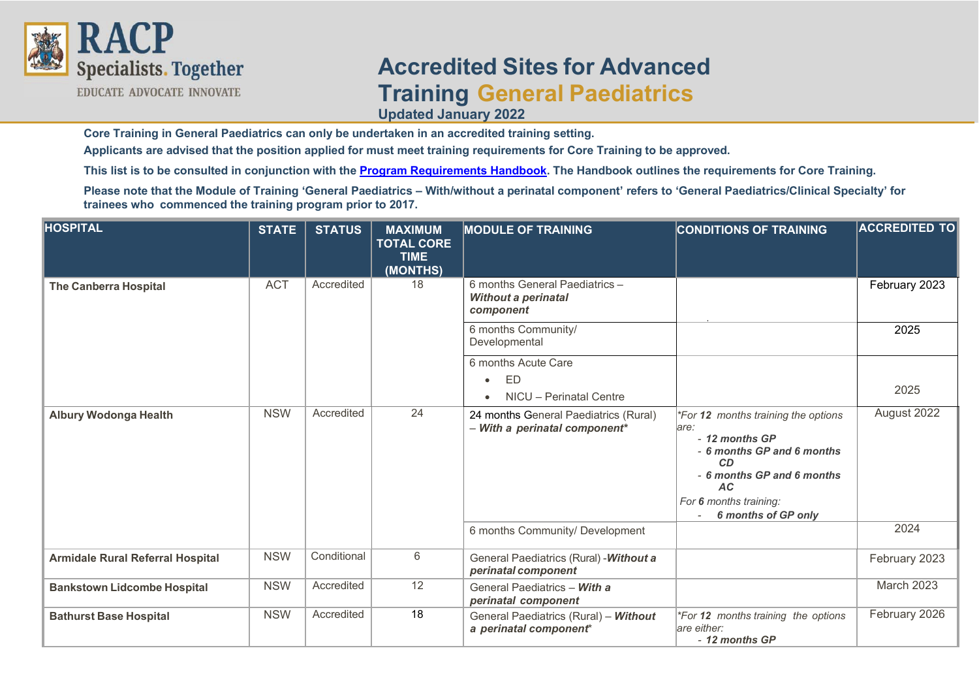

## **Accredited Sites for Advanced Training General Paediatrics Updated January 2022**

**Core Training in General Paediatrics can only be undertaken in an accredited training setting.**

**Applicants are advised that the position applied for must meet training requirements for Core Training to be approved.**

**This list is to be consulted in conjunction with the [Program Requirements Handbook.](https://www.racp.edu.au/trainees/advanced-training/advanced-training-programs/general-paediatrics) The Handbook outlines the requirements for Core Training.**

**Please note that the Module of Training 'General Paediatrics – With/without a perinatal component' refers to 'General Paediatrics/Clinical Specialty' for trainees who commenced the training program prior to 2017.**

| <b>HOSPITAL</b>                         | <b>STATE</b> | <b>STATUS</b> | <b>MAXIMUM</b><br><b>TOTAL CORE</b><br><b>TIME</b><br>(MONTHS) | <b>MODULE OF TRAINING</b>                                                 | <b>CONDITIONS OF TRAINING</b>                                                                                                                                                                  | <b>ACCREDITED TO</b> |
|-----------------------------------------|--------------|---------------|----------------------------------------------------------------|---------------------------------------------------------------------------|------------------------------------------------------------------------------------------------------------------------------------------------------------------------------------------------|----------------------|
| <b>The Canberra Hospital</b>            | <b>ACT</b>   | Accredited    | 18                                                             | 6 months General Paediatrics -<br><b>Without a perinatal</b><br>component |                                                                                                                                                                                                | February 2023        |
|                                         |              |               |                                                                | 6 months Community/<br>Developmental                                      |                                                                                                                                                                                                | 2025                 |
|                                         |              |               |                                                                | 6 months Acute Care<br>ED<br>$\bullet$<br>NICU - Perinatal Centre         |                                                                                                                                                                                                | 2025                 |
| <b>Albury Wodonga Health</b>            | <b>NSW</b>   | Accredited    | 24                                                             | 24 months General Paediatrics (Rural)<br>- With a perinatal component*    | *For 12 months training the options<br>lare:<br>- 12 months GP<br>- 6 months GP and 6 months<br>CD<br>- 6 months GP and 6 months<br><b>AC</b><br>For 6 months training:<br>6 months of GP only | August 2022          |
|                                         |              |               |                                                                | 6 months Community/ Development                                           |                                                                                                                                                                                                | 2024                 |
| <b>Armidale Rural Referral Hospital</b> | <b>NSW</b>   | Conditional   | 6                                                              | General Paediatrics (Rural) - Without a<br>perinatal component            |                                                                                                                                                                                                | February 2023        |
| <b>Bankstown Lidcombe Hospital</b>      | <b>NSW</b>   | Accredited    | 12                                                             | General Paediatrics - With a<br>perinatal component                       |                                                                                                                                                                                                | March 2023           |
| <b>Bathurst Base Hospital</b>           | <b>NSW</b>   | Accredited    | 18                                                             | General Paediatrics (Rural) - Without<br>a perinatal component*           | *For 12 months training the options<br>are either:<br>- 12 months GP                                                                                                                           | February 2026        |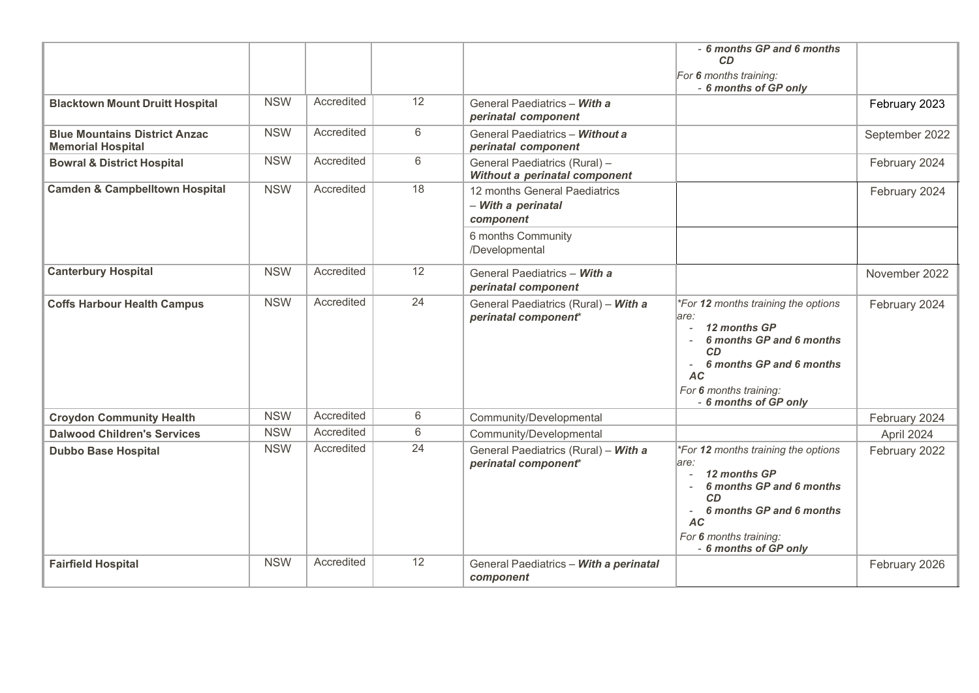|                                                                  |            |            |    |                                                                  | - 6 months GP and 6 months<br><b>CD</b><br>For 6 months training:<br>- 6 months of GP only                                                                                                |                |
|------------------------------------------------------------------|------------|------------|----|------------------------------------------------------------------|-------------------------------------------------------------------------------------------------------------------------------------------------------------------------------------------|----------------|
| <b>Blacktown Mount Druitt Hospital</b>                           | <b>NSW</b> | Accredited | 12 | General Paediatrics - With a<br>perinatal component              |                                                                                                                                                                                           | February 2023  |
| <b>Blue Mountains District Anzac</b><br><b>Memorial Hospital</b> | <b>NSW</b> | Accredited | 6  | General Paediatrics - Without a<br>perinatal component           |                                                                                                                                                                                           | September 2022 |
| <b>Bowral &amp; District Hospital</b>                            | <b>NSW</b> | Accredited | 6  | General Paediatrics (Rural) -<br>Without a perinatal component   |                                                                                                                                                                                           | February 2024  |
| <b>Camden &amp; Campbelltown Hospital</b>                        | <b>NSW</b> | Accredited | 18 | 12 months General Paediatrics<br>- With a perinatal<br>component |                                                                                                                                                                                           | February 2024  |
|                                                                  |            |            |    | 6 months Community<br>/Developmental                             |                                                                                                                                                                                           |                |
| <b>Canterbury Hospital</b>                                       | <b>NSW</b> | Accredited | 12 | General Paediatrics - With a<br>perinatal component              |                                                                                                                                                                                           | November 2022  |
| <b>Coffs Harbour Health Campus</b>                               | <b>NSW</b> | Accredited | 24 | General Paediatrics (Rural) - With a<br>perinatal component*     | *For 12 months training the options<br>are:<br>12 months GP<br>6 months GP and 6 months<br>CD<br>6 months GP and 6 months<br><b>AC</b><br>For 6 months training:<br>- 6 months of GP only | February 2024  |
| <b>Croydon Community Health</b>                                  | <b>NSW</b> | Accredited | 6  | Community/Developmental                                          |                                                                                                                                                                                           | February 2024  |
| <b>Dalwood Children's Services</b>                               | <b>NSW</b> | Accredited | 6  | Community/Developmental                                          |                                                                                                                                                                                           | April 2024     |
| <b>Dubbo Base Hospital</b>                                       | <b>NSW</b> | Accredited | 24 | General Paediatrics (Rural) - With a<br>perinatal component*     | *For 12 months training the options<br>are:<br>12 months GP<br>6 months GP and 6 months<br>CD<br>6 months GP and 6 months<br><b>AC</b><br>For 6 months training:<br>- 6 months of GP only | February 2022  |
| <b>Fairfield Hospital</b>                                        | <b>NSW</b> | Accredited | 12 | General Paediatrics - With a perinatal<br>component              |                                                                                                                                                                                           | February 2026  |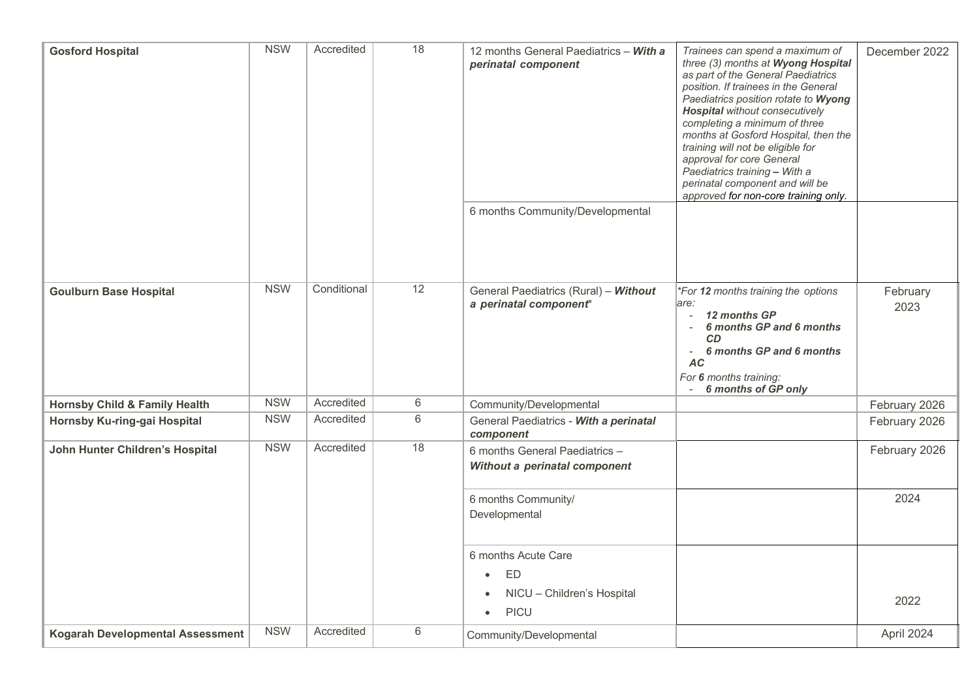| <b>Gosford Hospital</b>                  | <b>NSW</b> | Accredited  | 18 | 12 months General Paediatrics - With a<br>perinatal component<br>6 months Community/Developmental | Trainees can spend a maximum of<br>three (3) months at Wyong Hospital<br>as part of the General Paediatrics<br>position. If trainees in the General<br>Paediatrics position rotate to Wyong<br><b>Hospital</b> without consecutively<br>completing a minimum of three<br>months at Gosford Hospital, then the<br>training will not be eligible for<br>approval for core General<br>Paediatrics training - With a<br>perinatal component and will be<br>approved for non-core training only. | December 2022    |
|------------------------------------------|------------|-------------|----|---------------------------------------------------------------------------------------------------|---------------------------------------------------------------------------------------------------------------------------------------------------------------------------------------------------------------------------------------------------------------------------------------------------------------------------------------------------------------------------------------------------------------------------------------------------------------------------------------------|------------------|
| <b>Goulburn Base Hospital</b>            | <b>NSW</b> | Conditional | 12 | General Paediatrics (Rural) - Without<br>a perinatal component*                                   | *For 12 months training the options<br>are:<br>12 months GP<br>6 months GP and 6 months<br>$\overline{\phantom{a}}$<br><b>CD</b><br>6 months GP and 6 months<br>$\overline{\phantom{a}}$<br><b>AC</b><br>For 6 months training:<br>6 months of GP only<br>$\overline{\phantom{a}}$                                                                                                                                                                                                          | February<br>2023 |
| <b>Hornsby Child &amp; Family Health</b> | <b>NSW</b> | Accredited  | 6  | Community/Developmental                                                                           |                                                                                                                                                                                                                                                                                                                                                                                                                                                                                             | February 2026    |
| Hornsby Ku-ring-gai Hospital             | <b>NSW</b> | Accredited  | 6  | General Paediatrics - With a perinatal<br>component                                               |                                                                                                                                                                                                                                                                                                                                                                                                                                                                                             | February 2026    |
| John Hunter Children's Hospital          | <b>NSW</b> | Accredited  | 18 | 6 months General Paediatrics -<br>Without a perinatal component                                   |                                                                                                                                                                                                                                                                                                                                                                                                                                                                                             | February 2026    |
|                                          |            |             |    | 6 months Community/<br>Developmental                                                              |                                                                                                                                                                                                                                                                                                                                                                                                                                                                                             | 2024             |
|                                          |            |             |    | 6 months Acute Care                                                                               |                                                                                                                                                                                                                                                                                                                                                                                                                                                                                             |                  |
|                                          |            |             |    | ED<br>$\bullet$<br>NICU - Children's Hospital<br>$\bullet$<br>PICU<br>$\bullet$                   |                                                                                                                                                                                                                                                                                                                                                                                                                                                                                             | 2022             |
| <b>Kogarah Developmental Assessment</b>  | <b>NSW</b> | Accredited  | 6  | Community/Developmental                                                                           |                                                                                                                                                                                                                                                                                                                                                                                                                                                                                             | April 2024       |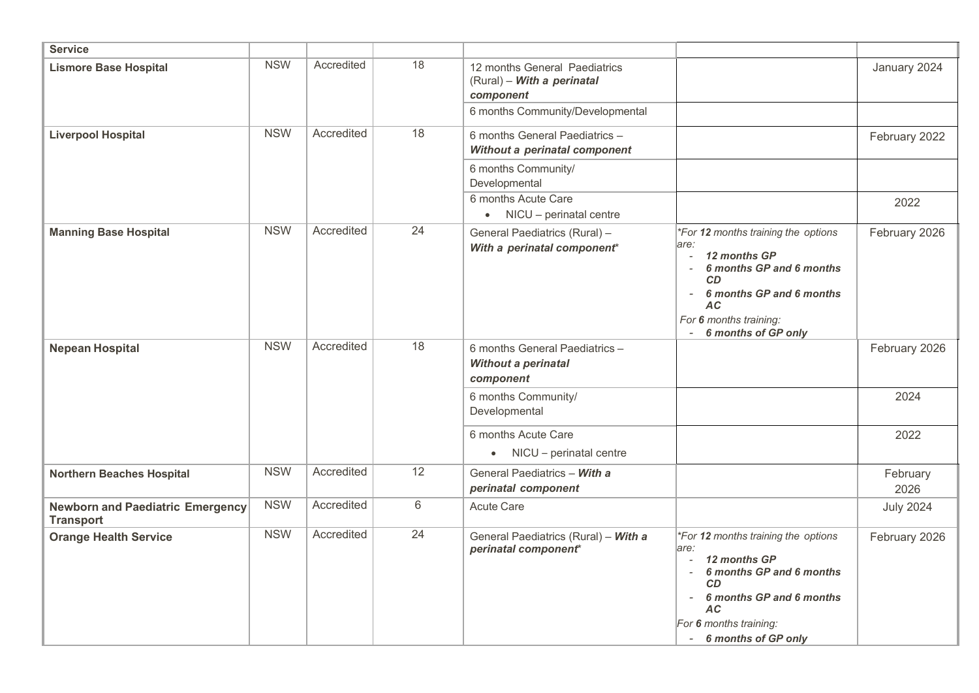| <b>Service</b>                                              |            |            |    |                                                                           |                                                                                                                                                                                                                                                  |                  |
|-------------------------------------------------------------|------------|------------|----|---------------------------------------------------------------------------|--------------------------------------------------------------------------------------------------------------------------------------------------------------------------------------------------------------------------------------------------|------------------|
| <b>Lismore Base Hospital</b>                                | <b>NSW</b> | Accredited | 18 | 12 months General Paediatrics<br>(Rural) - With a perinatal<br>component  |                                                                                                                                                                                                                                                  | January 2024     |
|                                                             |            |            |    | 6 months Community/Developmental                                          |                                                                                                                                                                                                                                                  |                  |
| <b>Liverpool Hospital</b>                                   | <b>NSW</b> | Accredited | 18 | 6 months General Paediatrics -<br>Without a perinatal component           |                                                                                                                                                                                                                                                  | February 2022    |
|                                                             |            |            |    | 6 months Community/<br>Developmental                                      |                                                                                                                                                                                                                                                  |                  |
|                                                             |            |            |    | 6 months Acute Care<br>• NICU - perinatal centre                          |                                                                                                                                                                                                                                                  | 2022             |
| <b>Manning Base Hospital</b>                                | <b>NSW</b> | Accredited | 24 | General Paediatrics (Rural) -<br>With a perinatal component*              | *For 12 months training the options<br>are:<br>12 months GP<br>6 months GP and 6 months<br><b>CD</b><br>6 months GP and 6 months<br>$\overline{\phantom{a}}$<br>AC.<br>For 6 months training:<br>6 months of GP only<br>$\overline{\phantom{a}}$ | February 2026    |
| <b>Nepean Hospital</b>                                      | <b>NSW</b> | Accredited | 18 | 6 months General Paediatrics -<br><b>Without a perinatal</b><br>component |                                                                                                                                                                                                                                                  | February 2026    |
|                                                             |            |            |    | 6 months Community/<br>Developmental                                      |                                                                                                                                                                                                                                                  | 2024             |
|                                                             |            |            |    | 6 months Acute Care<br>$\bullet$ NICU - perinatal centre                  |                                                                                                                                                                                                                                                  | 2022             |
| <b>Northern Beaches Hospital</b>                            | <b>NSW</b> | Accredited | 12 | General Paediatrics - With a<br>perinatal component                       |                                                                                                                                                                                                                                                  | February<br>2026 |
| <b>Newborn and Paediatric Emergency</b><br><b>Transport</b> | <b>NSW</b> | Accredited | 6  | <b>Acute Care</b>                                                         |                                                                                                                                                                                                                                                  | <b>July 2024</b> |
| <b>Orange Health Service</b>                                | <b>NSW</b> | Accredited | 24 | General Paediatrics (Rural) - With a<br>perinatal component*              | *For 12 months training the options<br>are:<br>12 months GP<br>6 months GP and 6 months<br>$\sim$<br>CD<br>6 months GP and 6 months<br>$\overline{\phantom{a}}$<br><b>AC</b><br>For 6 months training:<br>- 6 months of GP only                  | February 2026    |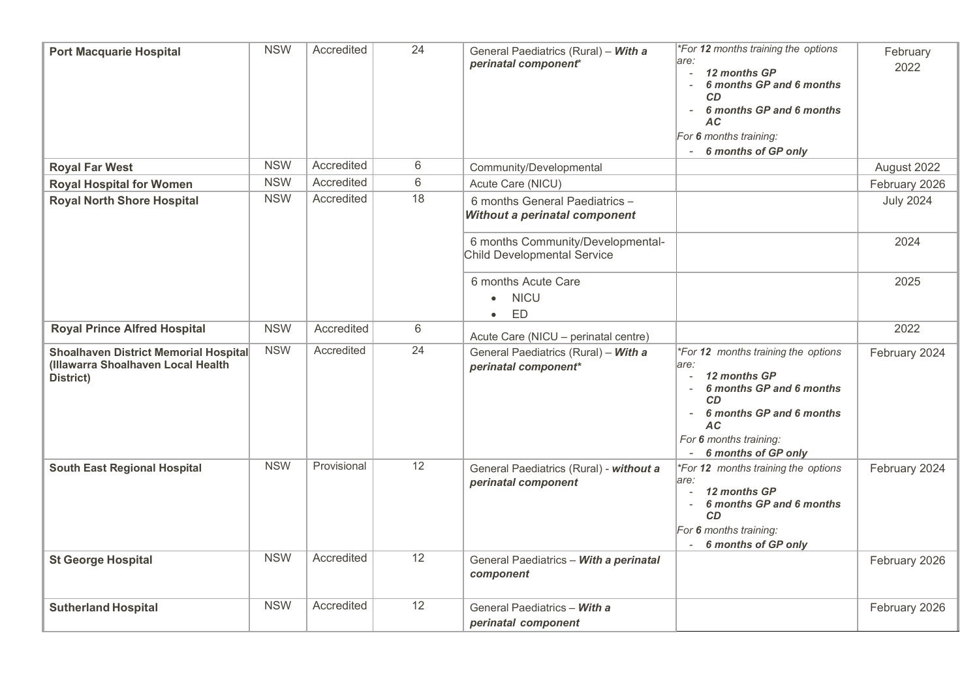| <b>Port Macquarie Hospital</b>                                                                         | <b>NSW</b> | Accredited  | 24 | General Paediatrics (Rural) - With a<br>perinatal component*            | *For 12 months training the options<br>lare:<br>12 months GP<br>6 months GP and 6 months<br><b>CD</b><br>6 months GP and 6 months<br><b>AC</b><br>For 6 months training:<br>6 months of GP only                      | February<br>2022 |
|--------------------------------------------------------------------------------------------------------|------------|-------------|----|-------------------------------------------------------------------------|----------------------------------------------------------------------------------------------------------------------------------------------------------------------------------------------------------------------|------------------|
| <b>Royal Far West</b>                                                                                  | <b>NSW</b> | Accredited  | 6  | Community/Developmental                                                 |                                                                                                                                                                                                                      | August 2022      |
| <b>Royal Hospital for Women</b>                                                                        | <b>NSW</b> | Accredited  | 6  | Acute Care (NICU)                                                       |                                                                                                                                                                                                                      | February 2026    |
| <b>Royal North Shore Hospital</b>                                                                      | <b>NSW</b> | Accredited  | 18 | 6 months General Paediatrics -<br>Without a perinatal component         |                                                                                                                                                                                                                      | <b>July 2024</b> |
|                                                                                                        |            |             |    | 6 months Community/Developmental-<br><b>Child Developmental Service</b> |                                                                                                                                                                                                                      | 2024             |
|                                                                                                        |            |             |    | 6 months Acute Care<br><b>NICU</b><br>$\bullet$<br>ED<br>$\bullet$      |                                                                                                                                                                                                                      | 2025             |
| <b>Royal Prince Alfred Hospital</b>                                                                    | <b>NSW</b> | Accredited  | 6  | Acute Care (NICU - perinatal centre)                                    |                                                                                                                                                                                                                      | 2022             |
| <b>Shoalhaven District Memorial Hospital</b><br>(Illawarra Shoalhaven Local Health<br><b>District)</b> | <b>NSW</b> | Accredited  | 24 | General Paediatrics (Rural) - With a<br>perinatal component*            | *For 12 months training the options<br>lare:<br>12 months GP<br>6 months GP and 6 months<br><b>CD</b><br>6 months GP and 6 months<br>$\overline{\phantom{a}}$<br>AC<br>For 6 months training:<br>6 months of GP only | February 2024    |
| <b>South East Regional Hospital</b>                                                                    | <b>NSW</b> | Provisional | 12 | General Paediatrics (Rural) - without a<br>perinatal component          | *For 12 months training the options<br>are:<br>12 months GP<br>6 months GP and 6 months<br>CD<br>For 6 months training:<br>6 months of GP only                                                                       | February 2024    |
| <b>St George Hospital</b>                                                                              | <b>NSW</b> | Accredited  | 12 | General Paediatrics - With a perinatal<br>component                     |                                                                                                                                                                                                                      | February 2026    |
| <b>Sutherland Hospital</b>                                                                             | <b>NSW</b> | Accredited  | 12 | General Paediatrics - With a<br>perinatal component                     |                                                                                                                                                                                                                      | February 2026    |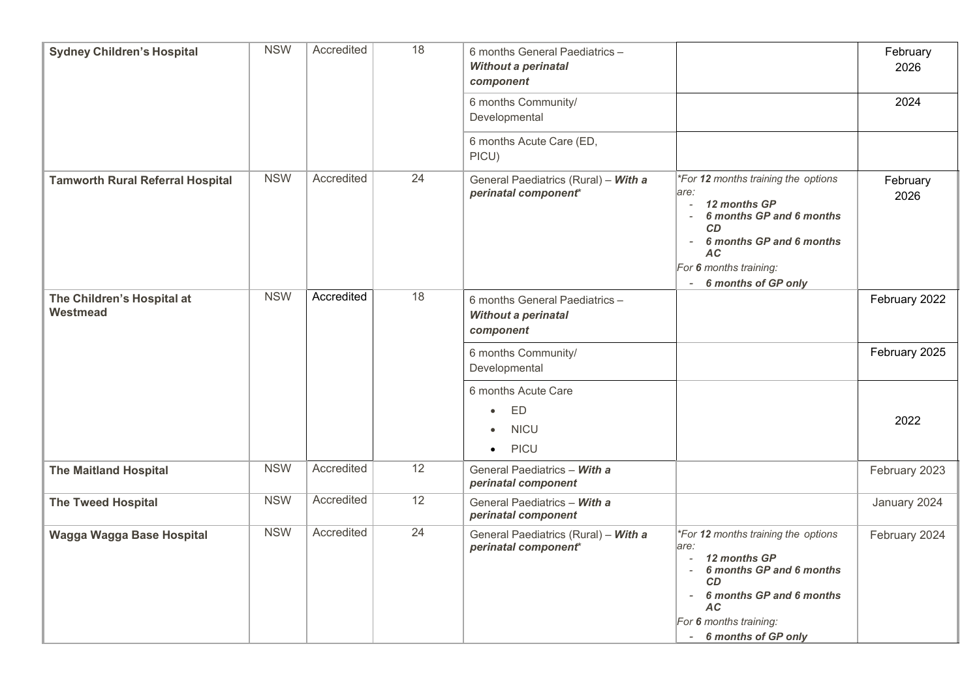| <b>Sydney Children's Hospital</b>       | <b>NSW</b> | Accredited | 18 | 6 months General Paediatrics -<br><b>Without a perinatal</b><br>component         |                                                                                                                                                                                                     | February<br>2026 |
|-----------------------------------------|------------|------------|----|-----------------------------------------------------------------------------------|-----------------------------------------------------------------------------------------------------------------------------------------------------------------------------------------------------|------------------|
|                                         |            |            |    | 6 months Community/<br>Developmental                                              |                                                                                                                                                                                                     | 2024             |
|                                         |            |            |    | 6 months Acute Care (ED,<br>PICU)                                                 |                                                                                                                                                                                                     |                  |
| <b>Tamworth Rural Referral Hospital</b> | <b>NSW</b> | Accredited | 24 | General Paediatrics (Rural) - With a<br>perinatal component*                      | *For 12 months training the options<br>are:<br>12 months GP<br>6 months GP and 6 months<br>$\sim$<br>CD<br>6 months GP and 6 months<br><b>AC</b><br>For 6 months training:<br>6 months of GP only   | February<br>2026 |
| The Children's Hospital at<br>Westmead  | <b>NSW</b> | Accredited | 18 | 6 months General Paediatrics -<br>Without a perinatal<br>component                |                                                                                                                                                                                                     | February 2022    |
|                                         |            |            |    | 6 months Community/<br>Developmental                                              |                                                                                                                                                                                                     | February 2025    |
|                                         |            |            |    | 6 months Acute Care<br>ED<br>$\bullet$<br><b>NICU</b><br><b>PICU</b><br>$\bullet$ |                                                                                                                                                                                                     | 2022             |
| <b>The Maitland Hospital</b>            | <b>NSW</b> | Accredited | 12 | General Paediatrics - With a<br>perinatal component                               |                                                                                                                                                                                                     | February 2023    |
| <b>The Tweed Hospital</b>               | <b>NSW</b> | Accredited | 12 | General Paediatrics - With a<br>perinatal component                               |                                                                                                                                                                                                     | January 2024     |
| Wagga Wagga Base Hospital               | <b>NSW</b> | Accredited | 24 | General Paediatrics (Rural) - With a<br>perinatal component*                      | *For 12 months training the options<br>are:<br>12 months GP<br>6 months GP and 6 months<br>$\sim$<br>CD<br>6 months GP and 6 months<br><b>AC</b><br>For 6 months training:<br>- 6 months of GP only | February 2024    |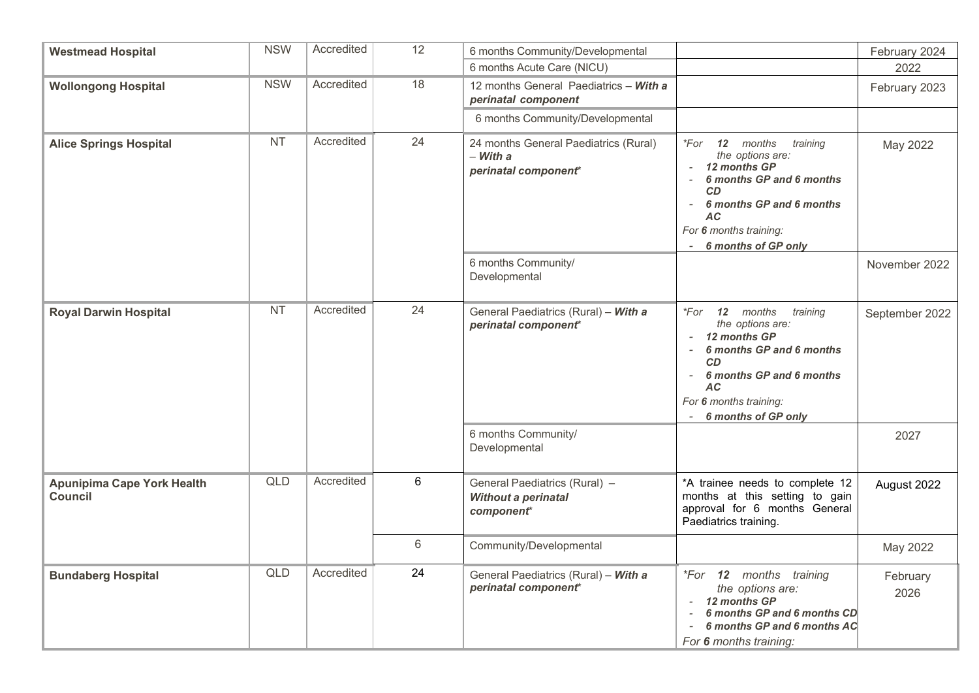| <b>Westmead Hospital</b>                     | <b>NSW</b> | Accredited | 12             | 6 months Community/Developmental                                               |                                                                                                                                                                                                                          | February 2024    |
|----------------------------------------------|------------|------------|----------------|--------------------------------------------------------------------------------|--------------------------------------------------------------------------------------------------------------------------------------------------------------------------------------------------------------------------|------------------|
|                                              |            |            |                | 6 months Acute Care (NICU)                                                     |                                                                                                                                                                                                                          | 2022             |
| <b>Wollongong Hospital</b>                   | <b>NSW</b> | Accredited | 18             | 12 months General Paediatrics - With a<br>perinatal component                  |                                                                                                                                                                                                                          | February 2023    |
|                                              |            |            |                | 6 months Community/Developmental                                               |                                                                                                                                                                                                                          |                  |
| <b>NT</b><br><b>Alice Springs Hospital</b>   |            | Accredited | 24             | 24 months General Paediatrics (Rural)<br>$-Witha$<br>perinatal component*      | 12 months<br>$*For$<br>training<br>the options are:<br>12 months GP<br>6 months GP and 6 months<br><b>CD</b><br>6 months GP and 6 months<br><b>AC</b><br>For 6 months training:<br>6 months of GP only                   | May 2022         |
|                                              |            |            |                | 6 months Community/<br>Developmental                                           |                                                                                                                                                                                                                          | November 2022    |
| <b>Royal Darwin Hospital</b>                 | <b>NT</b>  | Accredited | 24             | General Paediatrics (Rural) - With a<br>perinatal component*                   | *For 12 months<br>training<br>the options are:<br>- 12 months GP<br>6 months GP and 6 months<br><b>CD</b><br>6 months GP and 6 months<br>$\overline{\phantom{0}}$<br>AC<br>For 6 months training:<br>6 months of GP only | September 2022   |
|                                              |            |            |                | 6 months Community/<br>Developmental                                           |                                                                                                                                                                                                                          | 2027             |
| <b>Apunipima Cape York Health</b><br>Council | <b>QLD</b> | Accredited | 6              | General Paediatrics (Rural) -<br>Without a perinatal<br>component <sup>*</sup> | *A trainee needs to complete 12<br>months at this setting to gain<br>approval for 6 months General<br>Paediatrics training.                                                                                              | August 2022      |
|                                              |            |            | $6\phantom{1}$ | Community/Developmental                                                        |                                                                                                                                                                                                                          | May 2022         |
| <b>Bundaberg Hospital</b>                    | <b>QLD</b> | Accredited | 24             | General Paediatrics (Rural) - With a<br>perinatal component*                   | <i>*For</i> 12 months training<br>the options are:<br>12 months GP<br>6 months GP and 6 months CD<br>6 months GP and 6 months AC<br>For 6 months training:                                                               | February<br>2026 |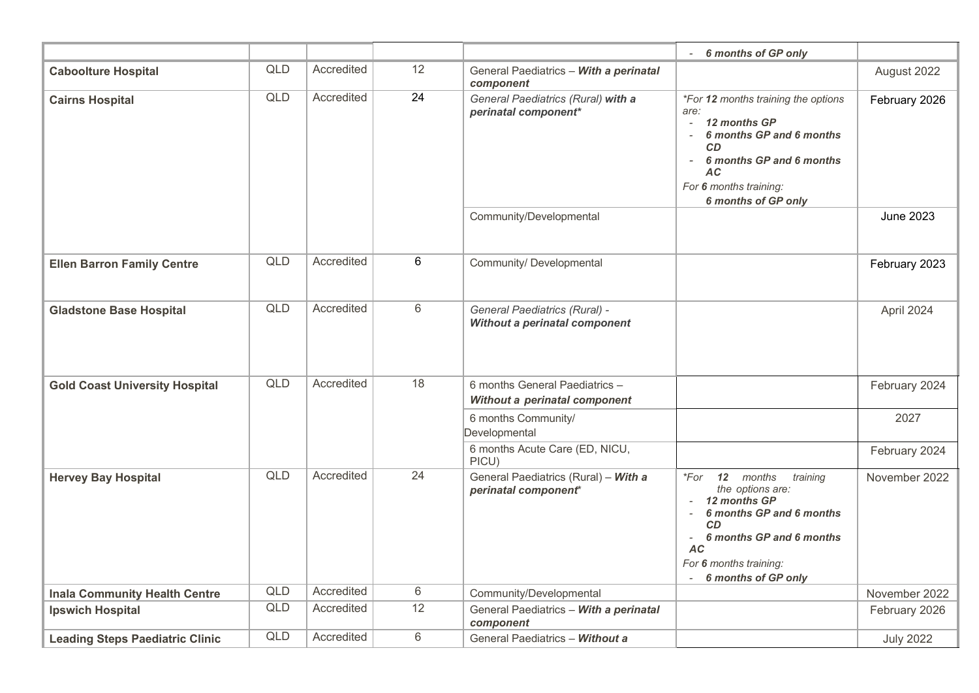|                                        |            |            |       |                                                                 | 6 months of GP only                                                                                                                                                                                                 |                  |
|----------------------------------------|------------|------------|-------|-----------------------------------------------------------------|---------------------------------------------------------------------------------------------------------------------------------------------------------------------------------------------------------------------|------------------|
| <b>Caboolture Hospital</b>             | <b>QLD</b> | Accredited | 12    | General Paediatrics - With a perinatal<br>component             |                                                                                                                                                                                                                     | August 2022      |
| <b>Cairns Hospital</b>                 | <b>QLD</b> | Accredited | 24    | General Paediatrics (Rural) with a<br>perinatal component*      | *For 12 months training the options<br>are:<br>12 months GP<br>6 months GP and 6 months<br>$\overline{\phantom{a}}$<br><b>CD</b><br>6 months GP and 6 months<br>AC<br>For 6 months training:<br>6 months of GP only | February 2026    |
|                                        |            |            |       | Community/Developmental                                         |                                                                                                                                                                                                                     | <b>June 2023</b> |
| <b>Ellen Barron Family Centre</b>      | <b>QLD</b> | Accredited | 6     | Community/ Developmental                                        |                                                                                                                                                                                                                     | February 2023    |
| <b>Gladstone Base Hospital</b>         | <b>QLD</b> | Accredited | 6     | General Paediatrics (Rural) -<br>Without a perinatal component  |                                                                                                                                                                                                                     | April 2024       |
| <b>Gold Coast University Hospital</b>  | <b>QLD</b> | Accredited | 18    | 6 months General Paediatrics -<br>Without a perinatal component |                                                                                                                                                                                                                     | February 2024    |
|                                        |            |            |       | 6 months Community/<br>Developmental                            |                                                                                                                                                                                                                     | 2027             |
|                                        |            |            |       | 6 months Acute Care (ED, NICU,<br>PICU)                         |                                                                                                                                                                                                                     | February 2024    |
| <b>Hervey Bay Hospital</b>             | <b>QLD</b> | Accredited | 24    | General Paediatrics (Rural) - With a<br>perinatal component*    | 12 months<br>training<br>*For<br>the options are:<br>12 months GP<br>6 months GP and 6 months<br><b>CD</b><br>6 months GP and 6 months<br>$\sim$<br><b>AC</b><br>For 6 months training:<br>6 months of GP only      | November 2022    |
| <b>Inala Community Health Centre</b>   | QLD        | Accredited | $6\,$ | Community/Developmental                                         |                                                                                                                                                                                                                     | November 2022    |
| <b>Ipswich Hospital</b>                | <b>QLD</b> | Accredited | 12    | General Paediatrics - With a perinatal<br>component             |                                                                                                                                                                                                                     | February 2026    |
| <b>Leading Steps Paediatric Clinic</b> | <b>QLD</b> | Accredited | 6     | General Paediatrics - Without a                                 |                                                                                                                                                                                                                     | <b>July 2022</b> |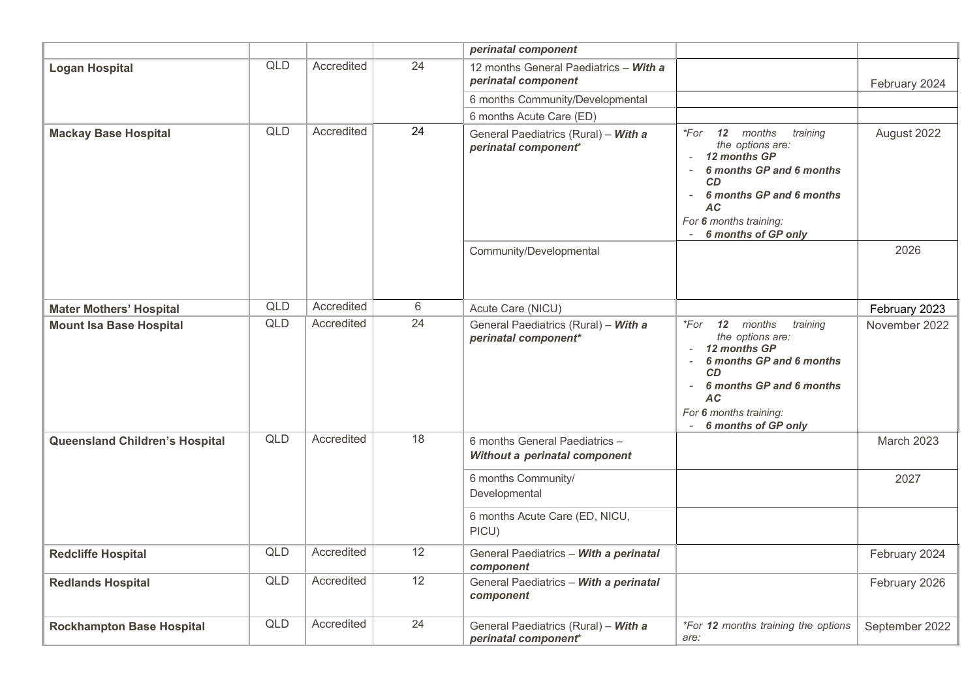|                                       |            |            |    | perinatal component                                             |                                                                                                                                                                                                                                                             |                |
|---------------------------------------|------------|------------|----|-----------------------------------------------------------------|-------------------------------------------------------------------------------------------------------------------------------------------------------------------------------------------------------------------------------------------------------------|----------------|
| <b>Logan Hospital</b>                 | <b>QLD</b> | Accredited | 24 | 12 months General Paediatrics - With a<br>perinatal component   |                                                                                                                                                                                                                                                             | February 2024  |
|                                       |            |            |    | 6 months Community/Developmental                                |                                                                                                                                                                                                                                                             |                |
|                                       |            |            |    | 6 months Acute Care (ED)                                        |                                                                                                                                                                                                                                                             |                |
| <b>Mackay Base Hospital</b>           | <b>QLD</b> | Accredited | 24 | General Paediatrics (Rural) - With a<br>perinatal component*    | *For 12 months<br>training<br>the options are:<br>- 12 months GP<br>6 months GP and 6 months<br>$\overline{\phantom{a}}$<br>CD<br>6 months GP and 6 months<br>$\overline{\phantom{a}}$<br><b>AC</b><br>For 6 months training:<br><b>6 months of GP only</b> | August 2022    |
|                                       |            |            |    | Community/Developmental                                         |                                                                                                                                                                                                                                                             | 2026           |
| <b>Mater Mothers' Hospital</b>        | <b>QLD</b> | Accredited | 6  | Acute Care (NICU)                                               |                                                                                                                                                                                                                                                             | February 2023  |
| <b>Mount Isa Base Hospital</b>        | <b>QLD</b> | Accredited | 24 | General Paediatrics (Rural) - With a<br>perinatal component*    | 12 months<br>*For<br>training<br>the options are:<br>12 months GP<br>6 months GP and 6 months<br>$\sim$<br><b>CD</b><br>6 months GP and 6 months<br><b>AC</b><br>For 6 months training:<br>6 months of GP only                                              | November 2022  |
| <b>Queensland Children's Hospital</b> | <b>QLD</b> | Accredited | 18 | 6 months General Paediatrics -<br>Without a perinatal component |                                                                                                                                                                                                                                                             | March 2023     |
|                                       |            |            |    | 6 months Community/<br>Developmental                            |                                                                                                                                                                                                                                                             | 2027           |
|                                       |            |            |    | 6 months Acute Care (ED, NICU,<br>PICU)                         |                                                                                                                                                                                                                                                             |                |
| <b>Redcliffe Hospital</b>             | <b>QLD</b> | Accredited | 12 | General Paediatrics - With a perinatal<br>component             |                                                                                                                                                                                                                                                             | February 2024  |
| <b>Redlands Hospital</b>              | <b>QLD</b> | Accredited | 12 | General Paediatrics - With a perinatal<br>component             |                                                                                                                                                                                                                                                             | February 2026  |
| <b>Rockhampton Base Hospital</b>      | <b>QLD</b> | Accredited | 24 | General Paediatrics (Rural) - With a<br>perinatal component*    | *For 12 months training the options<br>are:                                                                                                                                                                                                                 | September 2022 |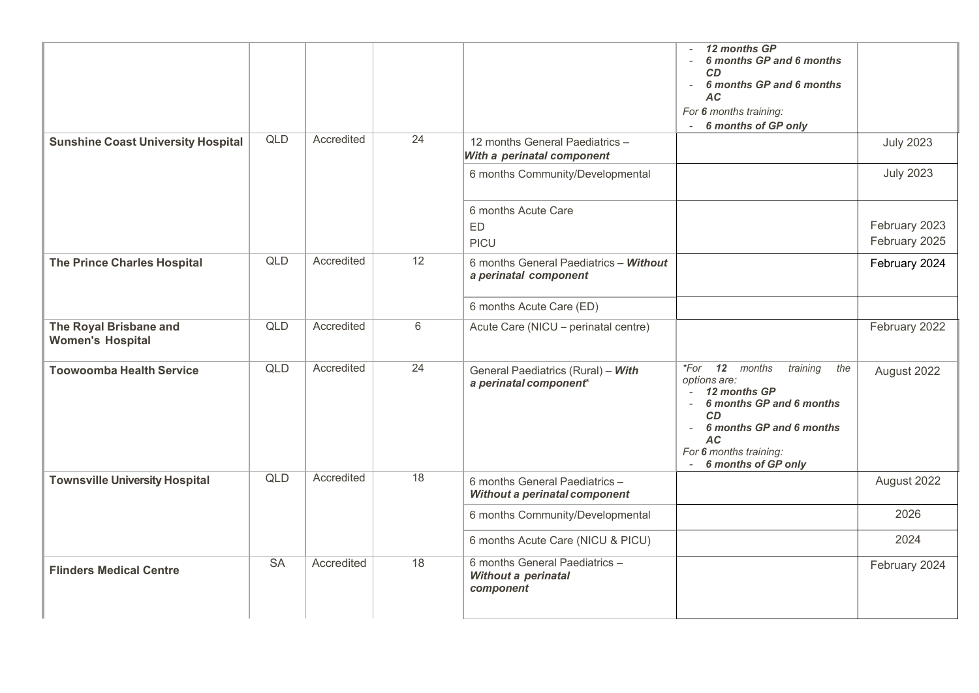|                                                   |            |            |                 |                                                                    | 12 months GP<br>6 months GP and 6 months<br><b>CD</b><br>6 months GP and 6 months<br>$\sim$<br><b>AC</b><br>For 6 months training:<br>6 months of GP only                                               |                                |
|---------------------------------------------------|------------|------------|-----------------|--------------------------------------------------------------------|---------------------------------------------------------------------------------------------------------------------------------------------------------------------------------------------------------|--------------------------------|
| <b>Sunshine Coast University Hospital</b>         | QLD        | Accredited | $\overline{24}$ | 12 months General Paediatrics -<br>With a perinatal component      |                                                                                                                                                                                                         | <b>July 2023</b>               |
|                                                   |            |            |                 | 6 months Community/Developmental                                   |                                                                                                                                                                                                         | <b>July 2023</b>               |
|                                                   |            |            |                 | 6 months Acute Care<br>ED<br><b>PICU</b>                           |                                                                                                                                                                                                         | February 2023<br>February 2025 |
| <b>The Prince Charles Hospital</b>                | <b>QLD</b> | Accredited | 12              | 6 months General Paediatrics - Without<br>a perinatal component    |                                                                                                                                                                                                         | February 2024                  |
|                                                   |            |            |                 | 6 months Acute Care (ED)                                           |                                                                                                                                                                                                         |                                |
| The Royal Brisbane and<br><b>Women's Hospital</b> | <b>QLD</b> | Accredited | 6               | Acute Care (NICU - perinatal centre)                               |                                                                                                                                                                                                         | February 2022                  |
| <b>Toowoomba Health Service</b>                   | <b>QLD</b> | Accredited | 24              | General Paediatrics (Rural) - With<br>a perinatal component*       | 12 months<br>training<br>*For<br>the<br>options are:<br>12 months GP<br>6 months GP and 6 months<br><b>CD</b><br>6 months GP and 6 months<br><b>AC</b><br>For 6 months training:<br>6 months of GP only | August 2022                    |
| <b>Townsville University Hospital</b>             | <b>QLD</b> | Accredited | 18              | 6 months General Paediatrics -<br>Without a perinatal component    |                                                                                                                                                                                                         | August 2022                    |
|                                                   |            |            |                 | 6 months Community/Developmental                                   |                                                                                                                                                                                                         | 2026                           |
|                                                   |            |            |                 | 6 months Acute Care (NICU & PICU)                                  |                                                                                                                                                                                                         | 2024                           |
| <b>Flinders Medical Centre</b>                    | <b>SA</b>  | Accredited | 18              | 6 months General Paediatrics -<br>Without a perinatal<br>component |                                                                                                                                                                                                         | February 2024                  |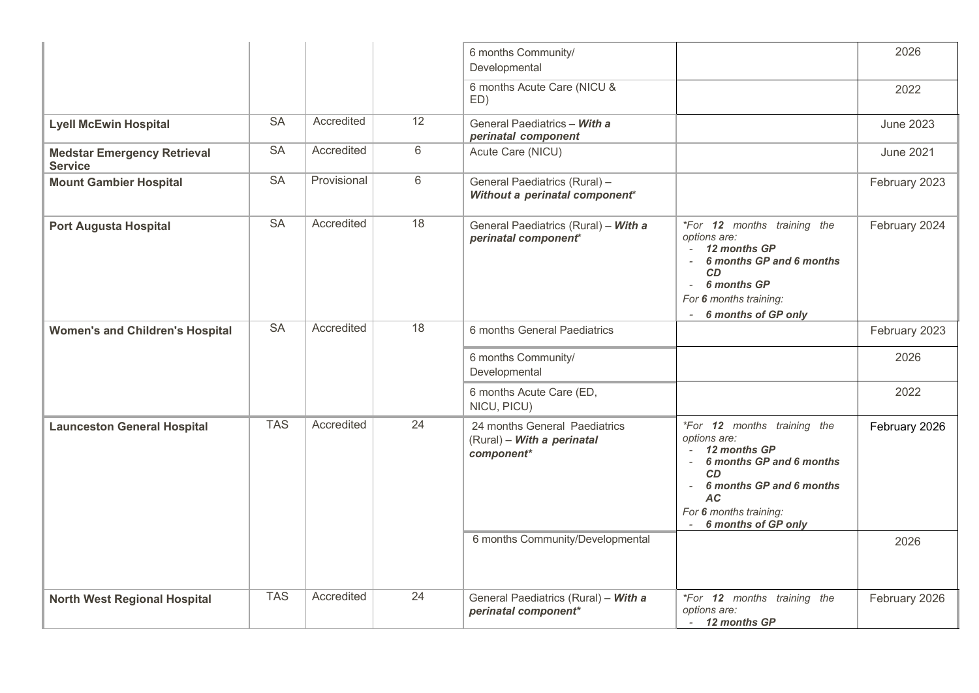|                                                      |                        |             |    | 6 months Community/<br>Developmental                                      |                                                                                                                                                                                                                    | 2026             |
|------------------------------------------------------|------------------------|-------------|----|---------------------------------------------------------------------------|--------------------------------------------------------------------------------------------------------------------------------------------------------------------------------------------------------------------|------------------|
|                                                      |                        |             |    | 6 months Acute Care (NICU &<br>ED)                                        |                                                                                                                                                                                                                    | 2022             |
| <b>Lyell McEwin Hospital</b>                         | <b>SA</b>              | Accredited  | 12 | General Paediatrics - With a<br>perinatal component                       |                                                                                                                                                                                                                    | <b>June 2023</b> |
| <b>Medstar Emergency Retrieval</b><br><b>Service</b> | SA                     | Accredited  | 6  | Acute Care (NICU)                                                         |                                                                                                                                                                                                                    | <b>June 2021</b> |
| <b>Mount Gambier Hospital</b>                        | <b>SA</b>              | Provisional | 6  | General Paediatrics (Rural) -<br>Without a perinatal component*           |                                                                                                                                                                                                                    | February 2023    |
| <b>Port Augusta Hospital</b>                         | $\overline{\text{SA}}$ | Accredited  | 18 | General Paediatrics (Rural) - With a<br>perinatal component*              | <i>*For</i> 12 months training the<br>options are:<br>12 months GP<br>6 months GP and 6 months<br><b>CD</b><br>6 months GP<br>$\overline{\phantom{a}}$<br>For 6 months training:<br>6 months of GP only            | February 2024    |
| <b>Women's and Children's Hospital</b>               | SA                     | Accredited  | 18 | 6 months General Paediatrics                                              |                                                                                                                                                                                                                    | February 2023    |
|                                                      |                        |             |    | 6 months Community/<br>Developmental                                      |                                                                                                                                                                                                                    | 2026             |
|                                                      |                        |             |    | 6 months Acute Care (ED,<br>NICU, PICU)                                   |                                                                                                                                                                                                                    | 2022             |
| <b>Launceston General Hospital</b>                   | <b>TAS</b>             | Accredited  | 24 | 24 months General Paediatrics<br>(Rural) - With a perinatal<br>component* | <i>*For</i> 12 months training the<br>options are:<br>12 months GP<br>6 months GP and 6 months<br>$\sim$<br>CD<br>6 months GP and 6 months<br>$\sim$<br><b>AC</b><br>For 6 months training:<br>6 months of GP only | February 2026    |
|                                                      |                        |             |    | 6 months Community/Developmental                                          |                                                                                                                                                                                                                    | 2026             |
| <b>North West Regional Hospital</b>                  | <b>TAS</b>             | Accredited  | 24 | General Paediatrics (Rural) - With a<br>perinatal component*              | <i>*For</i> 12 months training the<br>options are:<br>- 12 months GP                                                                                                                                               | February 2026    |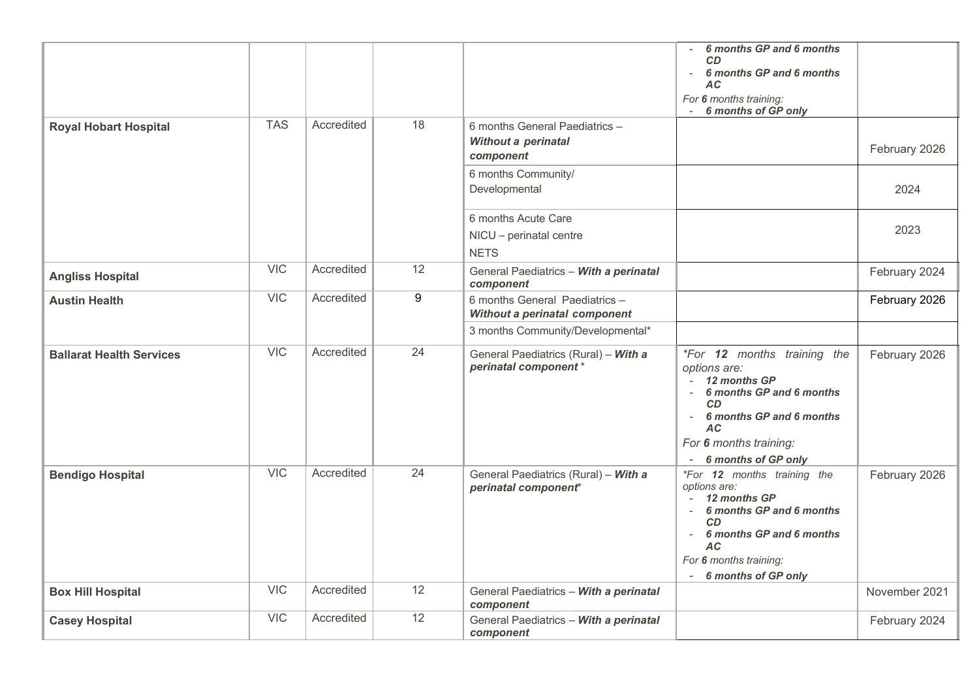|                                 |            |            |    |                                                                           | 6 months GP and 6 months<br><b>CD</b><br>6 months GP and 6 months<br>AC<br>For 6 months training:<br>6 months of GP only                                                                                                   |               |
|---------------------------------|------------|------------|----|---------------------------------------------------------------------------|----------------------------------------------------------------------------------------------------------------------------------------------------------------------------------------------------------------------------|---------------|
| <b>Royal Hobart Hospital</b>    | <b>TAS</b> | Accredited | 18 | 6 months General Paediatrics -<br><b>Without a perinatal</b><br>component |                                                                                                                                                                                                                            | February 2026 |
|                                 |            |            |    | 6 months Community/<br>Developmental                                      |                                                                                                                                                                                                                            | 2024          |
|                                 |            |            |    | 6 months Acute Care<br>NICU - perinatal centre<br><b>NETS</b>             |                                                                                                                                                                                                                            | 2023          |
| <b>Angliss Hospital</b>         | <b>VIC</b> | Accredited | 12 | General Paediatrics - With a perinatal<br>component                       |                                                                                                                                                                                                                            | February 2024 |
| <b>Austin Health</b>            | VIC        | Accredited | 9  | 6 months General Paediatrics -<br>Without a perinatal component           |                                                                                                                                                                                                                            | February 2026 |
|                                 |            |            |    | 3 months Community/Developmental*                                         |                                                                                                                                                                                                                            |               |
| <b>Ballarat Health Services</b> | <b>VIC</b> | Accredited | 24 | General Paediatrics (Rural) - With a<br>perinatal component*              | <i>*For</i> 12 months training the<br>options are:<br>12 months GP<br>6 months GP and 6 months<br>CD<br>6 months GP and 6 months<br>$\overline{\phantom{a}}$<br><b>AC</b><br>For 6 months training:<br>6 months of GP only | February 2026 |
| <b>Bendigo Hospital</b>         | VIC        | Accredited | 24 | General Paediatrics (Rural) - With a<br>perinatal component*              | <i>*For</i> 12 months training the<br>options are:<br>- 12 months GP<br>6 months GP and 6 months<br><b>CD</b><br>6 months GP and 6 months<br>$\sim$<br><b>AC</b><br>For 6 months training:<br>6 months of GP only          | February 2026 |
| <b>Box Hill Hospital</b>        | <b>VIC</b> | Accredited | 12 | General Paediatrics - With a perinatal<br>component                       |                                                                                                                                                                                                                            | November 2021 |
| <b>Casey Hospital</b>           | <b>VIC</b> | Accredited | 12 | General Paediatrics - With a perinatal<br>component                       |                                                                                                                                                                                                                            | February 2024 |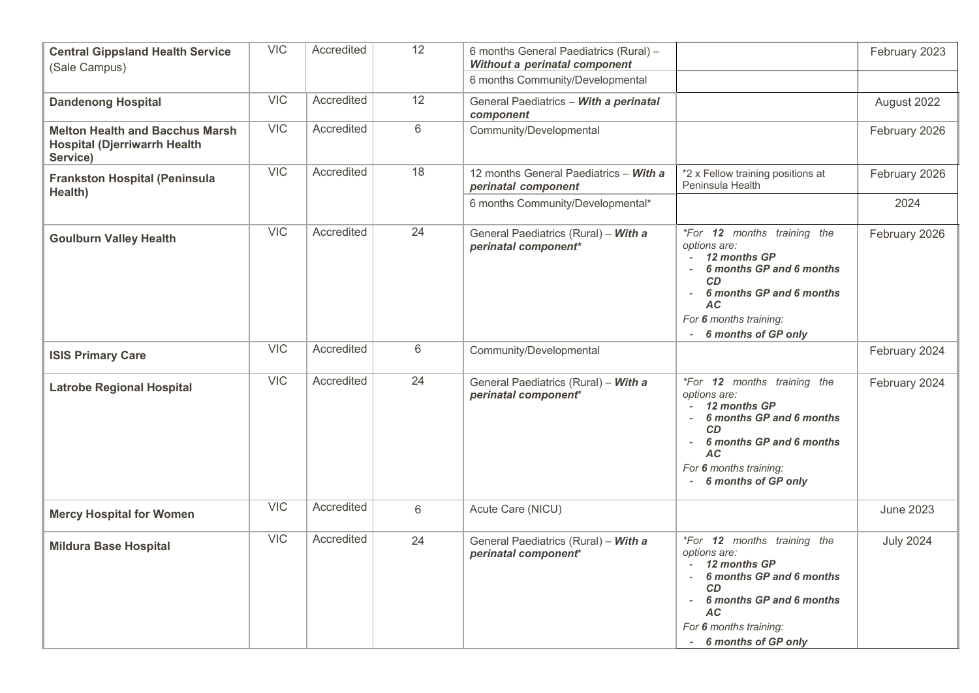| <b>Central Gippsland Health Service</b><br>(Sale Campus)                                  | <b>VIC</b> | Accredited | 12             | 6 months General Paediatrics (Rural) -<br>Without a perinatal component<br>6 months Community/Developmental |                                                                                                                                                                                                                   | February 2023    |
|-------------------------------------------------------------------------------------------|------------|------------|----------------|-------------------------------------------------------------------------------------------------------------|-------------------------------------------------------------------------------------------------------------------------------------------------------------------------------------------------------------------|------------------|
| <b>Dandenong Hospital</b>                                                                 | <b>VIC</b> | Accredited | 12             | General Paediatrics - With a perinatal                                                                      |                                                                                                                                                                                                                   | August 2022      |
|                                                                                           |            |            |                | component                                                                                                   |                                                                                                                                                                                                                   |                  |
| <b>Melton Health and Bacchus Marsh</b><br><b>Hospital (Djerriwarrh Health</b><br>Service) | <b>VIC</b> | Accredited | $\,6\,$        | Community/Developmental                                                                                     |                                                                                                                                                                                                                   | February 2026    |
| <b>Frankston Hospital (Peninsula</b><br>Health)                                           | <b>VIC</b> | Accredited | 18             | 12 months General Paediatrics - With a<br>perinatal component                                               | *2 x Fellow training positions at<br>Peninsula Health                                                                                                                                                             | February 2026    |
|                                                                                           |            |            |                | 6 months Community/Developmental*                                                                           |                                                                                                                                                                                                                   | 2024             |
| <b>Goulburn Valley Health</b>                                                             | VIC        | Accredited | 24             | General Paediatrics (Rural) - With a<br>perinatal component*                                                | <i>*For</i> 12 months training the<br>options are:<br>12 months GP<br>6 months GP and 6 months<br><b>CD</b><br>6 months GP and 6 months<br>$\sim$<br>AC<br>For 6 months training:<br>6 months of GP only<br>$ \,$ | February 2026    |
| <b>ISIS Primary Care</b>                                                                  | <b>VIC</b> | Accredited | 6              | Community/Developmental                                                                                     |                                                                                                                                                                                                                   | February 2024    |
| <b>Latrobe Regional Hospital</b>                                                          | VIC        | Accredited | 24             | General Paediatrics (Rural) - With a<br>perinatal component*                                                | <i>*For</i> 12 months training the<br>options are:<br>12 months GP<br>6 months GP and 6 months<br><b>CD</b><br>6 months GP and 6 months<br>$\sim$<br>АC<br>For 6 months training:<br>6 months of GP only          | February 2024    |
| <b>Mercy Hospital for Women</b>                                                           | <b>VIC</b> | Accredited | $6\phantom{a}$ | Acute Care (NICU)                                                                                           |                                                                                                                                                                                                                   | <b>June 2023</b> |
| <b>Mildura Base Hospital</b>                                                              | VIC        | Accredited | 24             | General Paediatrics (Rural) - With a<br>perinatal component*                                                | <i>*For</i> 12 months training the<br>options are:<br>12 months GP<br>6 months GP and 6 months<br><b>CD</b><br>6 months GP and 6 months<br>AC<br>For 6 months training:<br>- 6 months of GP only                  | <b>July 2024</b> |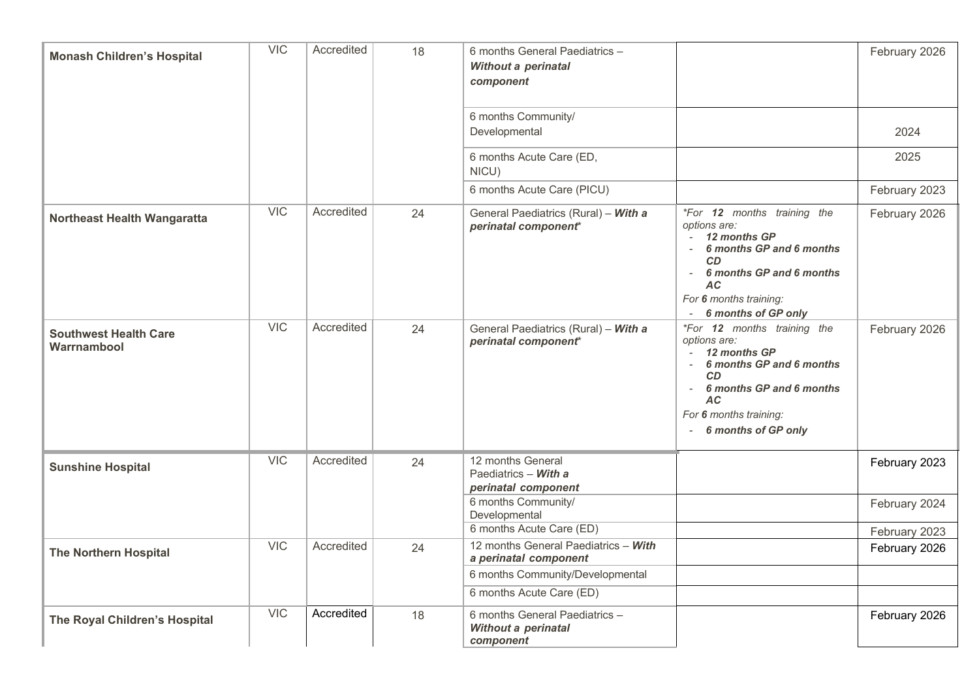| <b>Monash Children's Hospital</b>           | <b>VIC</b> | Accredited | 18 | 6 months General Paediatrics -<br><b>Without a perinatal</b><br>component |                                                                                                                                                                                                                            | February 2026 |
|---------------------------------------------|------------|------------|----|---------------------------------------------------------------------------|----------------------------------------------------------------------------------------------------------------------------------------------------------------------------------------------------------------------------|---------------|
|                                             |            |            |    | 6 months Community/<br>Developmental                                      |                                                                                                                                                                                                                            | 2024          |
|                                             |            |            |    | 6 months Acute Care (ED,<br>NICU)                                         |                                                                                                                                                                                                                            | 2025          |
|                                             |            |            |    | 6 months Acute Care (PICU)                                                |                                                                                                                                                                                                                            | February 2023 |
| <b>Northeast Health Wangaratta</b>          | <b>VIC</b> | Accredited | 24 | General Paediatrics (Rural) - With a<br>perinatal component*              | <i>*For</i> 12 months training the<br>options are:<br>12 months GP<br>6 months GP and 6 months<br><b>CD</b><br>6 months GP and 6 months<br>$\sim$<br><b>AC</b><br>For 6 months training:<br>6 months of GP only            | February 2026 |
| <b>Southwest Health Care</b><br>Warrnambool | VIC        | Accredited | 24 | General Paediatrics (Rural) - With a<br>perinatal component*              | <i>*For</i> 12 months training the<br>options are:<br>12 months GP<br>6 months GP and 6 months<br>CD<br>6 months GP and 6 months<br>$\overline{\phantom{a}}$<br><b>AC</b><br>For 6 months training:<br>6 months of GP only | February 2026 |
| <b>Sunshine Hospital</b>                    | <b>VIC</b> | Accredited | 24 | 12 months General<br>Paediatrics - With a<br>perinatal component          |                                                                                                                                                                                                                            | February 2023 |
|                                             |            |            |    | 6 months Community/<br>Developmental                                      |                                                                                                                                                                                                                            | February 2024 |
|                                             | <b>VIC</b> | Accredited |    | 6 months Acute Care (ED)<br>12 months General Paediatrics - With          |                                                                                                                                                                                                                            | February 2023 |
| <b>The Northern Hospital</b>                |            |            | 24 | a perinatal component                                                     |                                                                                                                                                                                                                            | February 2026 |
|                                             |            |            |    | 6 months Community/Developmental                                          |                                                                                                                                                                                                                            |               |
|                                             |            |            |    | 6 months Acute Care (ED)                                                  |                                                                                                                                                                                                                            |               |
| The Royal Children's Hospital               | <b>VIC</b> | Accredited | 18 | 6 months General Paediatrics -<br><b>Without a perinatal</b><br>component |                                                                                                                                                                                                                            | February 2026 |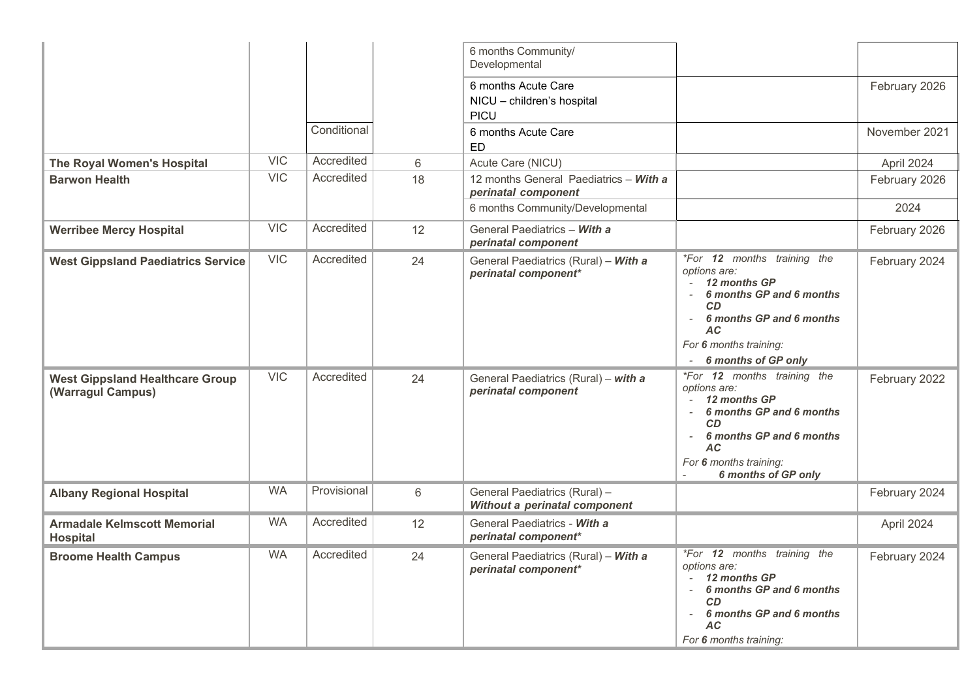|                                                             |            |             |       | 6 months Community/<br>Developmental                           |                                                                                                                                                                                                |               |
|-------------------------------------------------------------|------------|-------------|-------|----------------------------------------------------------------|------------------------------------------------------------------------------------------------------------------------------------------------------------------------------------------------|---------------|
|                                                             |            |             |       | 6 months Acute Care<br>NICU - children's hospital<br>PICU      |                                                                                                                                                                                                | February 2026 |
|                                                             |            | Conditional |       | 6 months Acute Care<br><b>ED</b>                               |                                                                                                                                                                                                | November 2021 |
| The Royal Women's Hospital                                  | <b>VIC</b> | Accredited  | $6\,$ | Acute Care (NICU)                                              |                                                                                                                                                                                                | April 2024    |
| <b>Barwon Health</b>                                        | <b>VIC</b> | Accredited  | 18    | 12 months General Paediatrics - With a<br>perinatal component  |                                                                                                                                                                                                | February 2026 |
|                                                             |            |             |       | 6 months Community/Developmental                               |                                                                                                                                                                                                | 2024          |
| <b>Werribee Mercy Hospital</b>                              | <b>VIC</b> | Accredited  | 12    | General Paediatrics - With a<br>perinatal component            |                                                                                                                                                                                                | February 2026 |
| <b>West Gippsland Paediatrics Service</b>                   | <b>VIC</b> | Accredited  | 24    | General Paediatrics (Rural) - With a<br>perinatal component*   | *For 12 months training the<br>options are:<br>12 months GP<br>6 months GP and 6 months<br>$\sim$<br>CD<br>6 months GP and 6 months<br>AC.<br>For 6 months training:<br>6 months of GP only    | February 2024 |
| <b>West Gippsland Healthcare Group</b><br>(Warragul Campus) | <b>VIC</b> | Accredited  | 24    | General Paediatrics (Rural) - with a<br>perinatal component    | <i>*For</i> 12 months training the<br>options are:<br>12 months GP<br>6 months GP and 6 months<br>CD<br>6 months GP and 6 months<br><b>AC</b><br>For 6 months training:<br>6 months of GP only | February 2022 |
| <b>Albany Regional Hospital</b>                             | <b>WA</b>  | Provisional | 6     | General Paediatrics (Rural) -<br>Without a perinatal component |                                                                                                                                                                                                | February 2024 |
| <b>Armadale Kelmscott Memorial</b><br><b>Hospital</b>       | <b>WA</b>  | Accredited  | 12    | General Paediatrics - With a<br>perinatal component*           |                                                                                                                                                                                                | April 2024    |
| <b>Broome Health Campus</b>                                 | <b>WA</b>  | Accredited  | 24    | General Paediatrics (Rural) - With a<br>perinatal component*   | *For 12 months training the<br>options are:<br>12 months GP<br>6 months GP and 6 months<br>CD<br>6 months GP and 6 months<br><b>AC</b><br>For 6 months training:                               | February 2024 |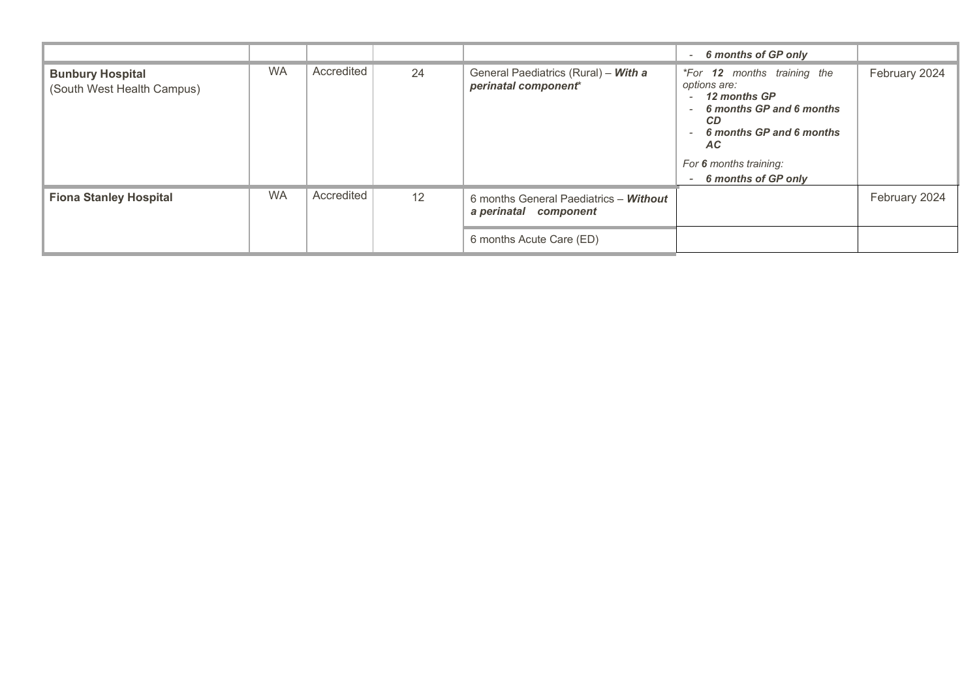|                                                       |           |            |    |                                                                 | 6 months of GP only<br>$\sim$                                                                                                                                                                                |               |
|-------------------------------------------------------|-----------|------------|----|-----------------------------------------------------------------|--------------------------------------------------------------------------------------------------------------------------------------------------------------------------------------------------------------|---------------|
| <b>Bunbury Hospital</b><br>(South West Health Campus) | <b>WA</b> | Accredited | 24 | General Paediatrics (Rural) - With a<br>perinatal component*    | <i>*For</i> 12 months training the<br>options are:<br>12 months GP<br>6 months GP and 6 months<br><b>CD</b><br>6 months GP and 6 months<br><b>AC</b><br>For 6 months training:<br>6 months of GP only<br>$-$ | February 2024 |
| <b>Fiona Stanley Hospital</b>                         | <b>WA</b> | Accredited | 12 | 6 months General Paediatrics - Without<br>a perinatal component |                                                                                                                                                                                                              | February 2024 |
|                                                       |           |            |    | 6 months Acute Care (ED)                                        |                                                                                                                                                                                                              |               |